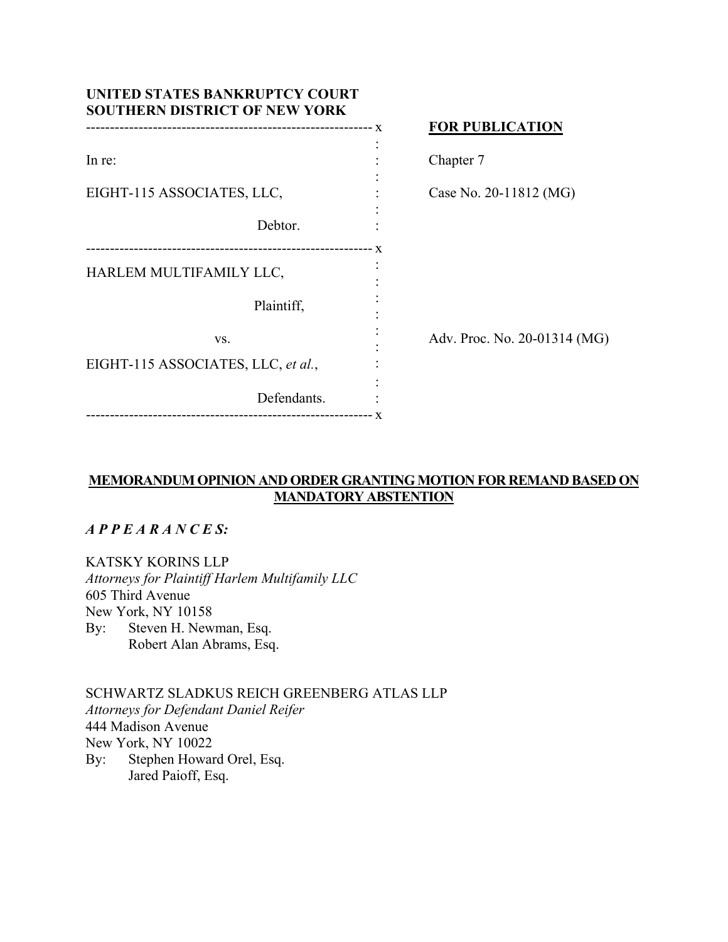| UNITED STATES BANKRUPTCY COURT<br><b>SOUTHERN DISTRICT OF NEW YORK</b> |             |                              |
|------------------------------------------------------------------------|-------------|------------------------------|
|                                                                        |             | <b>FOR PUBLICATION</b>       |
| In re:                                                                 |             | Chapter 7                    |
| EIGHT-115 ASSOCIATES, LLC,                                             |             | Case No. 20-11812 (MG)       |
|                                                                        | Debtor.     |                              |
| HARLEM MULTIFAMILY LLC,                                                |             |                              |
|                                                                        | Plaintiff,  |                              |
| VS.                                                                    |             | Adv. Proc. No. 20-01314 (MG) |
| EIGHT-115 ASSOCIATES, LLC, et al.,                                     |             |                              |
|                                                                        | Defendants. |                              |

# **MEMORANDUM OPINION AND ORDER GRANTING MOTION FOR REMAND BASED ON MANDATORY ABSTENTION**

## *A P P E A R A N C E S:*

KATSKY KORINS LLP *Attorneys for Plaintiff Harlem Multifamily LLC*  605 Third Avenue New York, NY 10158 By: Steven H. Newman, Esq. Robert Alan Abrams, Esq.

SCHWARTZ SLADKUS REICH GREENBERG ATLAS LLP *Attorneys for Defendant Daniel Reifer*  444 Madison Avenue New York, NY 10022 By: Stephen Howard Orel, Esq. Jared Paioff, Esq.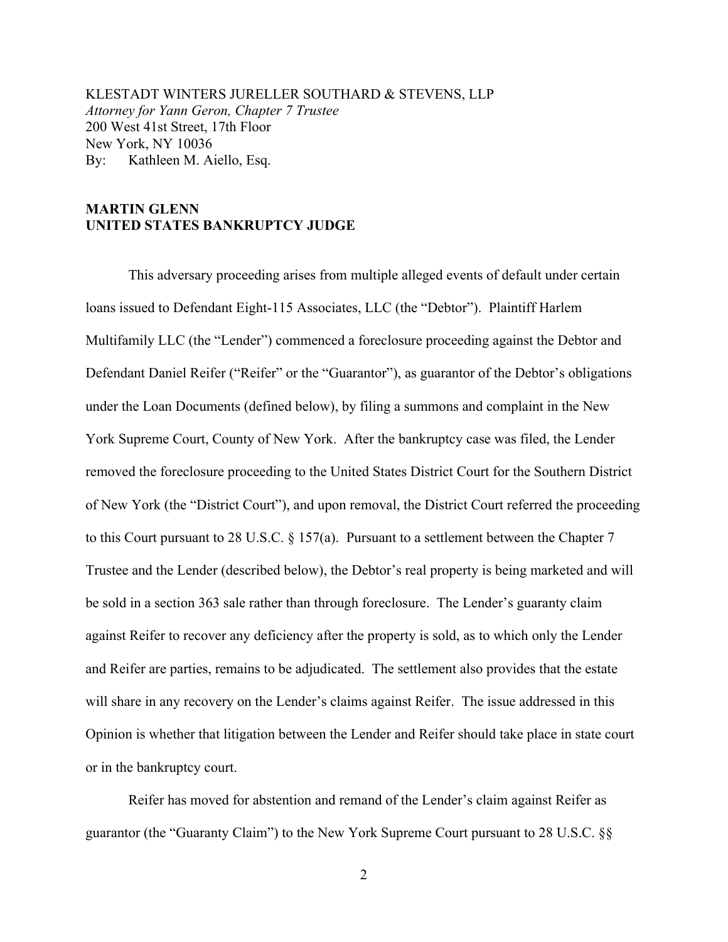KLESTADT WINTERS JURELLER SOUTHARD & STEVENS, LLP *Attorney for Yann Geron, Chapter 7 Trustee* 200 West 41st Street, 17th Floor New York, NY 10036 By: Kathleen M. Aiello, Esq.

## **MARTIN GLENN UNITED STATES BANKRUPTCY JUDGE**

This adversary proceeding arises from multiple alleged events of default under certain loans issued to Defendant Eight-115 Associates, LLC (the "Debtor"). Plaintiff Harlem Multifamily LLC (the "Lender") commenced a foreclosure proceeding against the Debtor and Defendant Daniel Reifer ("Reifer" or the "Guarantor"), as guarantor of the Debtor's obligations under the Loan Documents (defined below), by filing a summons and complaint in the New York Supreme Court, County of New York. After the bankruptcy case was filed, the Lender removed the foreclosure proceeding to the United States District Court for the Southern District of New York (the "District Court"), and upon removal, the District Court referred the proceeding to this Court pursuant to 28 U.S.C. § 157(a). Pursuant to a settlement between the Chapter 7 Trustee and the Lender (described below), the Debtor's real property is being marketed and will be sold in a section 363 sale rather than through foreclosure. The Lender's guaranty claim against Reifer to recover any deficiency after the property is sold, as to which only the Lender and Reifer are parties, remains to be adjudicated. The settlement also provides that the estate will share in any recovery on the Lender's claims against Reifer. The issue addressed in this Opinion is whether that litigation between the Lender and Reifer should take place in state court or in the bankruptcy court.

Reifer has moved for abstention and remand of the Lender's claim against Reifer as guarantor (the "Guaranty Claim") to the New York Supreme Court pursuant to 28 U.S.C. §§

2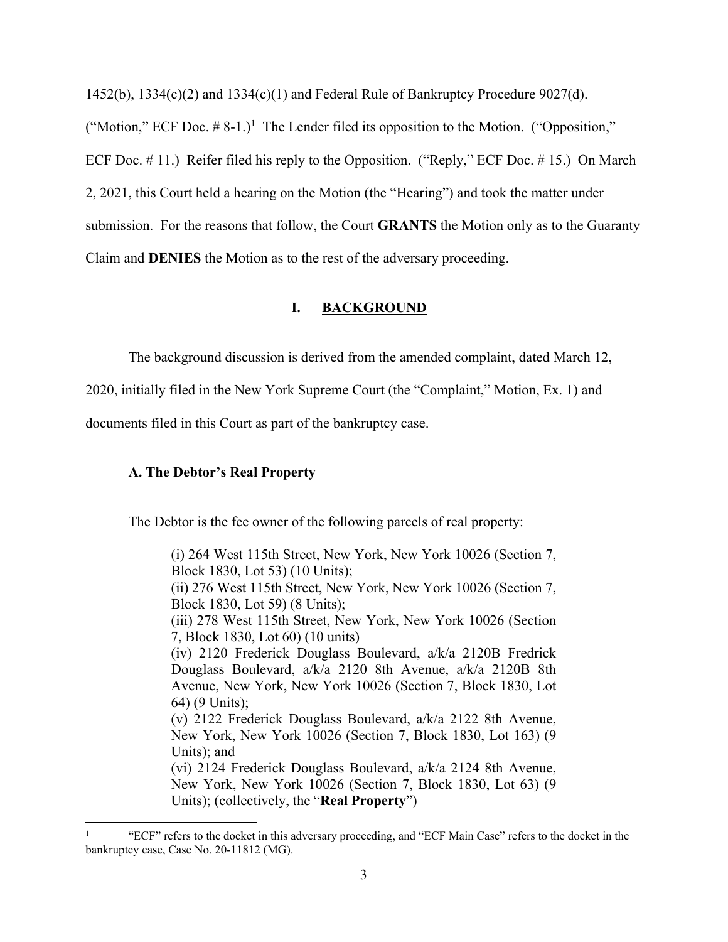$1452(b)$ ,  $1334(c)(2)$  and  $1334(c)(1)$  and Federal Rule of Bankruptcy Procedure 9027(d).

("Motion," ECF Doc.  $\# 8{\text -}1.$ )<sup>1</sup> The Lender filed its opposition to the Motion. ("Opposition," ECF Doc. # 11.) Reifer filed his reply to the Opposition. ("Reply," ECF Doc. # 15.) On March 2, 2021, this Court held a hearing on the Motion (the "Hearing") and took the matter under submission. For the reasons that follow, the Court **GRANTS** the Motion only as to the Guaranty Claim and **DENIES** the Motion as to the rest of the adversary proceeding.

## **I. BACKGROUND**

The background discussion is derived from the amended complaint, dated March 12,

2020, initially filed in the New York Supreme Court (the "Complaint," Motion, Ex. 1) and

documents filed in this Court as part of the bankruptcy case.

## **A. The Debtor's Real Property**

The Debtor is the fee owner of the following parcels of real property:

(i) 264 West 115th Street, New York, New York 10026 (Section 7, Block 1830, Lot 53) (10 Units); (ii) 276 West 115th Street, New York, New York 10026 (Section 7, Block 1830, Lot 59) (8 Units); (iii) 278 West 115th Street, New York, New York 10026 (Section 7, Block 1830, Lot 60) (10 units) (iv) 2120 Frederick Douglass Boulevard, a/k/a 2120B Fredrick Douglass Boulevard, a/k/a 2120 8th Avenue, a/k/a 2120B 8th Avenue, New York, New York 10026 (Section 7, Block 1830, Lot 64) (9 Units); (v) 2122 Frederick Douglass Boulevard, a/k/a 2122 8th Avenue, New York, New York 10026 (Section 7, Block 1830, Lot 163) (9 Units); and (vi) 2124 Frederick Douglass Boulevard, a/k/a 2124 8th Avenue, New York, New York 10026 (Section 7, Block 1830, Lot 63) (9 Units); (collectively, the "**Real Property**")

<sup>1</sup> "ECF" refers to the docket in this adversary proceeding, and "ECF Main Case" refers to the docket in the bankruptcy case, Case No. 20-11812 (MG).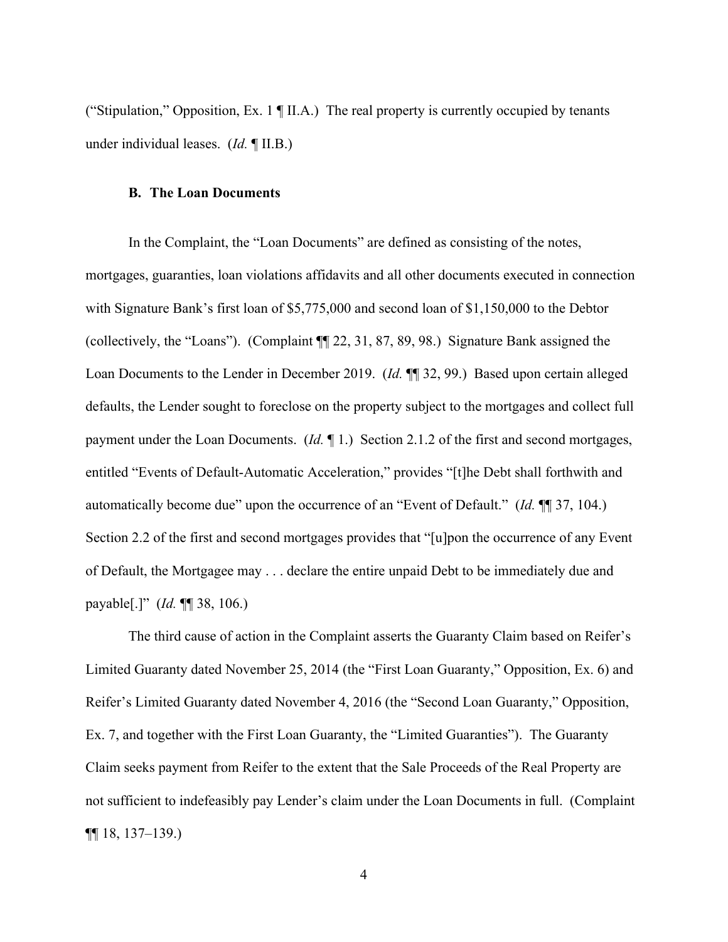("Stipulation," Opposition, Ex. 1 ¶ II.A.) The real property is currently occupied by tenants under individual leases. (*Id.* ¶ II.B.)

#### **B. The Loan Documents**

In the Complaint, the "Loan Documents" are defined as consisting of the notes, mortgages, guaranties, loan violations affidavits and all other documents executed in connection with Signature Bank's first loan of \$5,775,000 and second loan of \$1,150,000 to the Debtor (collectively, the "Loans"). (Complaint ¶¶ 22, 31, 87, 89, 98.) Signature Bank assigned the Loan Documents to the Lender in December 2019. (*Id.* ¶¶ 32, 99.) Based upon certain alleged defaults, the Lender sought to foreclose on the property subject to the mortgages and collect full payment under the Loan Documents. (*Id.* ¶ 1.) Section 2.1.2 of the first and second mortgages, entitled "Events of Default-Automatic Acceleration," provides "[t]he Debt shall forthwith and automatically become due" upon the occurrence of an "Event of Default." (*Id.* ¶¶ 37, 104.) Section 2.2 of the first and second mortgages provides that "[u]pon the occurrence of any Event of Default, the Mortgagee may . . . declare the entire unpaid Debt to be immediately due and payable[.]" (*Id.* ¶¶ 38, 106.)

The third cause of action in the Complaint asserts the Guaranty Claim based on Reifer's Limited Guaranty dated November 25, 2014 (the "First Loan Guaranty," Opposition, Ex. 6) and Reifer's Limited Guaranty dated November 4, 2016 (the "Second Loan Guaranty," Opposition, Ex. 7, and together with the First Loan Guaranty, the "Limited Guaranties"). The Guaranty Claim seeks payment from Reifer to the extent that the Sale Proceeds of the Real Property are not sufficient to indefeasibly pay Lender's claim under the Loan Documents in full. (Complaint  $\P\P$  18, 137–139.)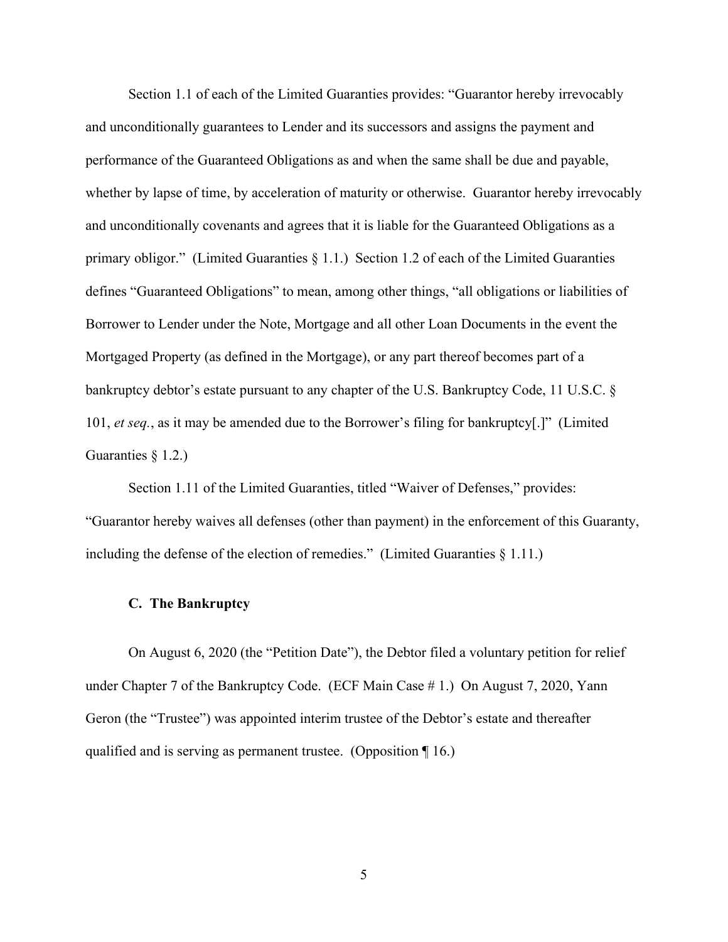Section 1.1 of each of the Limited Guaranties provides: "Guarantor hereby irrevocably and unconditionally guarantees to Lender and its successors and assigns the payment and performance of the Guaranteed Obligations as and when the same shall be due and payable, whether by lapse of time, by acceleration of maturity or otherwise. Guarantor hereby irrevocably and unconditionally covenants and agrees that it is liable for the Guaranteed Obligations as a primary obligor." (Limited Guaranties § 1.1.) Section 1.2 of each of the Limited Guaranties defines "Guaranteed Obligations" to mean, among other things, "all obligations or liabilities of Borrower to Lender under the Note, Mortgage and all other Loan Documents in the event the Mortgaged Property (as defined in the Mortgage), or any part thereof becomes part of a bankruptcy debtor's estate pursuant to any chapter of the U.S. Bankruptcy Code, 11 U.S.C. § 101, *et seq.*, as it may be amended due to the Borrower's filing for bankruptcy[.]" (Limited Guaranties § 1.2.)

Section 1.11 of the Limited Guaranties, titled "Waiver of Defenses," provides: "Guarantor hereby waives all defenses (other than payment) in the enforcement of this Guaranty, including the defense of the election of remedies." (Limited Guaranties § 1.11.)

#### **C. The Bankruptcy**

On August 6, 2020 (the "Petition Date"), the Debtor filed a voluntary petition for relief under Chapter 7 of the Bankruptcy Code. (ECF Main Case # 1.) On August 7, 2020, Yann Geron (the "Trustee") was appointed interim trustee of the Debtor's estate and thereafter qualified and is serving as permanent trustee. (Opposition ¶ 16.)

5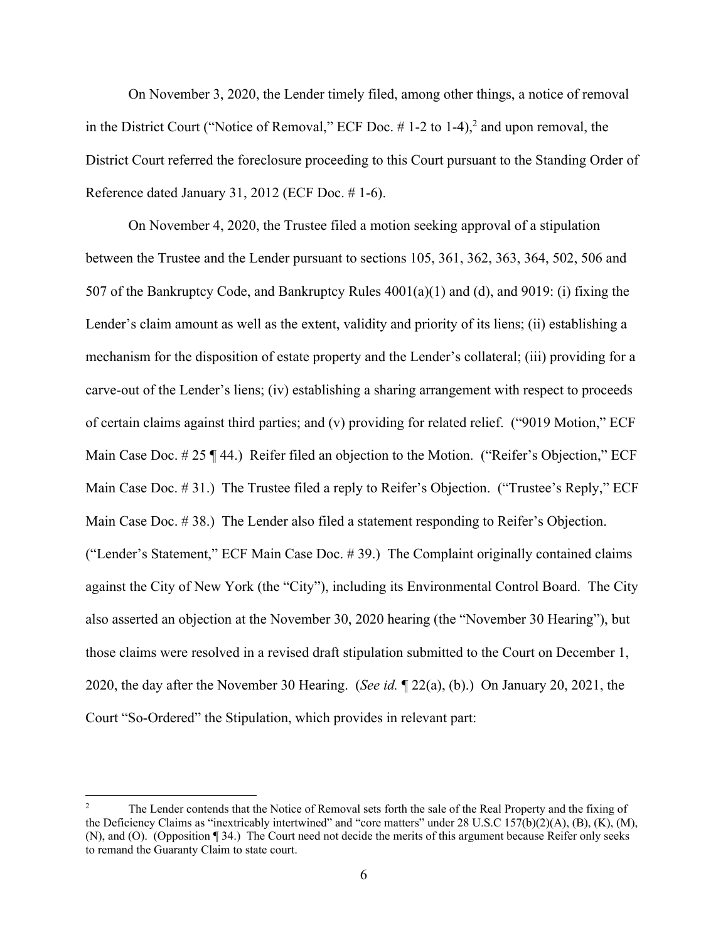On November 3, 2020, the Lender timely filed, among other things, a notice of removal in the District Court ("Notice of Removal," ECF Doc.  $# 1-2$  to  $1-4$ ), and upon removal, the District Court referred the foreclosure proceeding to this Court pursuant to the Standing Order of Reference dated January 31, 2012 (ECF Doc. # 1-6).

On November 4, 2020, the Trustee filed a motion seeking approval of a stipulation between the Trustee and the Lender pursuant to sections 105, 361, 362, 363, 364, 502, 506 and 507 of the Bankruptcy Code, and Bankruptcy Rules 4001(a)(1) and (d), and 9019: (i) fixing the Lender's claim amount as well as the extent, validity and priority of its liens; (ii) establishing a mechanism for the disposition of estate property and the Lender's collateral; (iii) providing for a carve-out of the Lender's liens; (iv) establishing a sharing arrangement with respect to proceeds of certain claims against third parties; and (v) providing for related relief. ("9019 Motion," ECF Main Case Doc. # 25 ¶ 44.) Reifer filed an objection to the Motion. ("Reifer's Objection," ECF Main Case Doc. # 31.) The Trustee filed a reply to Reifer's Objection. ("Trustee's Reply," ECF Main Case Doc. # 38.) The Lender also filed a statement responding to Reifer's Objection. ("Lender's Statement," ECF Main Case Doc. # 39.) The Complaint originally contained claims against the City of New York (the "City"), including its Environmental Control Board. The City also asserted an objection at the November 30, 2020 hearing (the "November 30 Hearing"), but those claims were resolved in a revised draft stipulation submitted to the Court on December 1, 2020, the day after the November 30 Hearing. (*See id.* ¶ 22(a), (b).) On January 20, 2021, the Court "So-Ordered" the Stipulation, which provides in relevant part:

<sup>2</sup> The Lender contends that the Notice of Removal sets forth the sale of the Real Property and the fixing of the Deficiency Claims as "inextricably intertwined" and "core matters" under 28 U.S.C 157(b)(2)(A), (B), (K), (M), (N), and (O). (Opposition ¶ 34.) The Court need not decide the merits of this argument because Reifer only seeks to remand the Guaranty Claim to state court.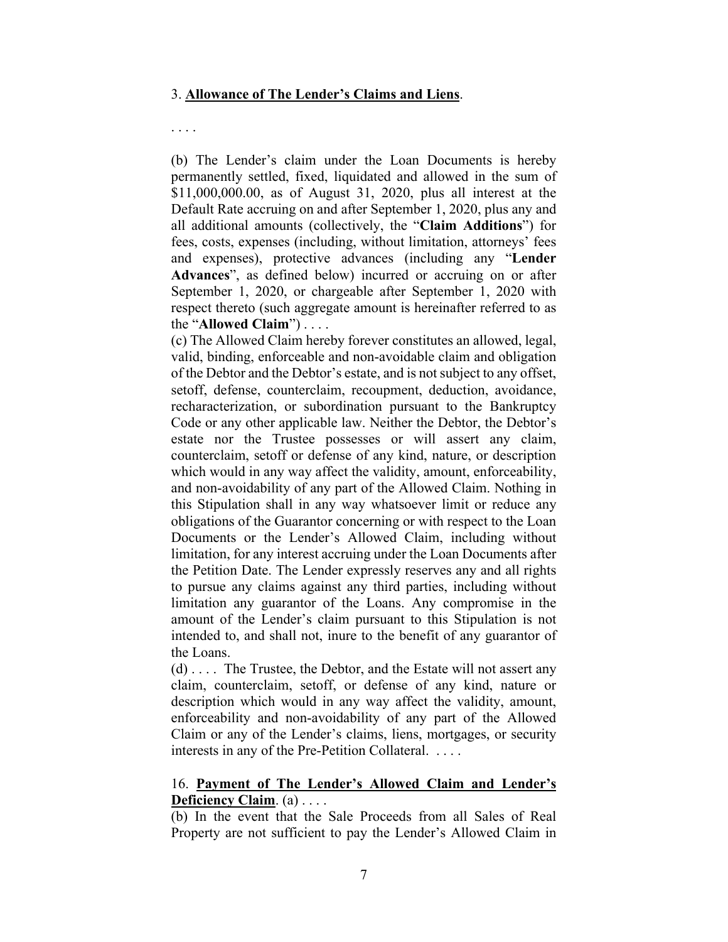### 3. **Allowance of The Lender's Claims and Liens**.

#### . . . .

(b) The Lender's claim under the Loan Documents is hereby permanently settled, fixed, liquidated and allowed in the sum of \$11,000,000.00, as of August 31, 2020, plus all interest at the Default Rate accruing on and after September 1, 2020, plus any and all additional amounts (collectively, the "**Claim Additions**") for fees, costs, expenses (including, without limitation, attorneys' fees and expenses), protective advances (including any "**Lender Advances**", as defined below) incurred or accruing on or after September 1, 2020, or chargeable after September 1, 2020 with respect thereto (such aggregate amount is hereinafter referred to as the "**Allowed Claim**") . . . .

(c) The Allowed Claim hereby forever constitutes an allowed, legal, valid, binding, enforceable and non-avoidable claim and obligation of the Debtor and the Debtor's estate, and is not subject to any offset, setoff, defense, counterclaim, recoupment, deduction, avoidance, recharacterization, or subordination pursuant to the Bankruptcy Code or any other applicable law. Neither the Debtor, the Debtor's estate nor the Trustee possesses or will assert any claim, counterclaim, setoff or defense of any kind, nature, or description which would in any way affect the validity, amount, enforceability, and non-avoidability of any part of the Allowed Claim. Nothing in this Stipulation shall in any way whatsoever limit or reduce any obligations of the Guarantor concerning or with respect to the Loan Documents or the Lender's Allowed Claim, including without limitation, for any interest accruing under the Loan Documents after the Petition Date. The Lender expressly reserves any and all rights to pursue any claims against any third parties, including without limitation any guarantor of the Loans. Any compromise in the amount of the Lender's claim pursuant to this Stipulation is not intended to, and shall not, inure to the benefit of any guarantor of the Loans.

(d) . . . . The Trustee, the Debtor, and the Estate will not assert any claim, counterclaim, setoff, or defense of any kind, nature or description which would in any way affect the validity, amount, enforceability and non-avoidability of any part of the Allowed Claim or any of the Lender's claims, liens, mortgages, or security interests in any of the Pre-Petition Collateral. . . . .

## 16. **Payment of The Lender's Allowed Claim and Lender's Deficiency Claim**. (a) . . . .

(b) In the event that the Sale Proceeds from all Sales of Real Property are not sufficient to pay the Lender's Allowed Claim in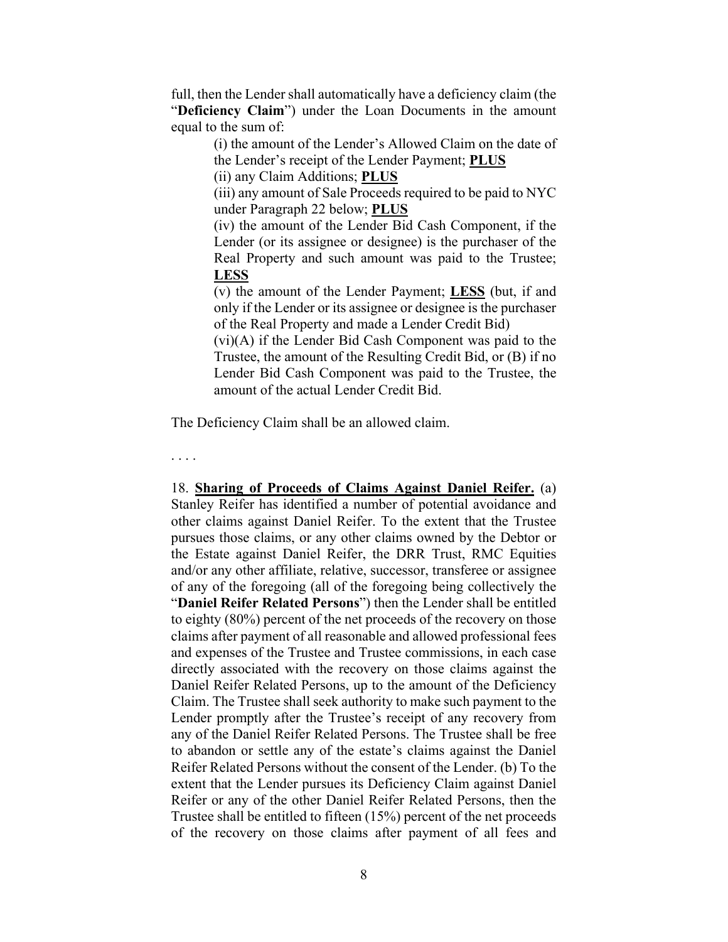full, then the Lender shall automatically have a deficiency claim (the "**Deficiency Claim**") under the Loan Documents in the amount equal to the sum of:

> (i) the amount of the Lender's Allowed Claim on the date of the Lender's receipt of the Lender Payment; **PLUS**

(ii) any Claim Additions; **PLUS**

(iii) any amount of Sale Proceeds required to be paid to NYC under Paragraph 22 below; **PLUS**

(iv) the amount of the Lender Bid Cash Component, if the Lender (or its assignee or designee) is the purchaser of the Real Property and such amount was paid to the Trustee; **LESS**

(v) the amount of the Lender Payment; **LESS** (but, if and only if the Lender or its assignee or designee is the purchaser of the Real Property and made a Lender Credit Bid)

(vi)(A) if the Lender Bid Cash Component was paid to the Trustee, the amount of the Resulting Credit Bid, or (B) if no Lender Bid Cash Component was paid to the Trustee, the amount of the actual Lender Credit Bid.

The Deficiency Claim shall be an allowed claim.

. . . .

18. **Sharing of Proceeds of Claims Against Daniel Reifer.** (a) Stanley Reifer has identified a number of potential avoidance and other claims against Daniel Reifer. To the extent that the Trustee pursues those claims, or any other claims owned by the Debtor or the Estate against Daniel Reifer, the DRR Trust, RMC Equities and/or any other affiliate, relative, successor, transferee or assignee of any of the foregoing (all of the foregoing being collectively the "**Daniel Reifer Related Persons**") then the Lender shall be entitled to eighty (80%) percent of the net proceeds of the recovery on those claims after payment of all reasonable and allowed professional fees and expenses of the Trustee and Trustee commissions, in each case directly associated with the recovery on those claims against the Daniel Reifer Related Persons, up to the amount of the Deficiency Claim. The Trustee shall seek authority to make such payment to the Lender promptly after the Trustee's receipt of any recovery from any of the Daniel Reifer Related Persons. The Trustee shall be free to abandon or settle any of the estate's claims against the Daniel Reifer Related Persons without the consent of the Lender. (b) To the extent that the Lender pursues its Deficiency Claim against Daniel Reifer or any of the other Daniel Reifer Related Persons, then the Trustee shall be entitled to fifteen (15%) percent of the net proceeds of the recovery on those claims after payment of all fees and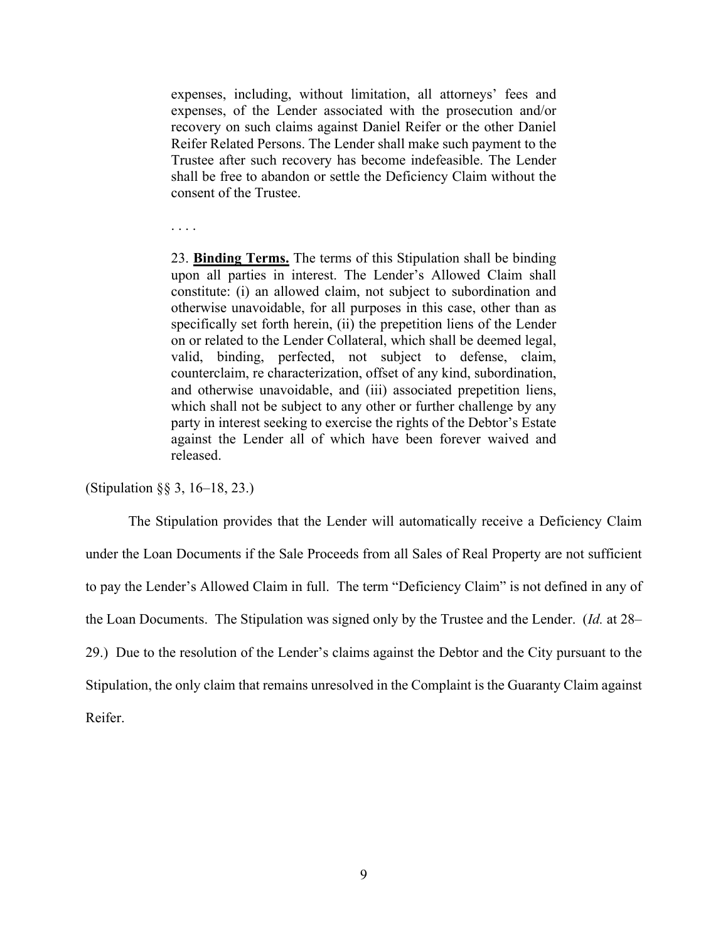expenses, including, without limitation, all attorneys' fees and expenses, of the Lender associated with the prosecution and/or recovery on such claims against Daniel Reifer or the other Daniel Reifer Related Persons. The Lender shall make such payment to the Trustee after such recovery has become indefeasible. The Lender shall be free to abandon or settle the Deficiency Claim without the consent of the Trustee.

. . . .

23. **Binding Terms.** The terms of this Stipulation shall be binding upon all parties in interest. The Lender's Allowed Claim shall constitute: (i) an allowed claim, not subject to subordination and otherwise unavoidable, for all purposes in this case, other than as specifically set forth herein, (ii) the prepetition liens of the Lender on or related to the Lender Collateral, which shall be deemed legal, valid, binding, perfected, not subject to defense, claim, counterclaim, re characterization, offset of any kind, subordination, and otherwise unavoidable, and (iii) associated prepetition liens, which shall not be subject to any other or further challenge by any party in interest seeking to exercise the rights of the Debtor's Estate against the Lender all of which have been forever waived and released.

(Stipulation §§ 3, 16–18, 23.)

The Stipulation provides that the Lender will automatically receive a Deficiency Claim under the Loan Documents if the Sale Proceeds from all Sales of Real Property are not sufficient to pay the Lender's Allowed Claim in full. The term "Deficiency Claim" is not defined in any of the Loan Documents. The Stipulation was signed only by the Trustee and the Lender. (*Id.* at 28– 29.) Due to the resolution of the Lender's claims against the Debtor and the City pursuant to the Stipulation, the only claim that remains unresolved in the Complaint is the Guaranty Claim against Reifer.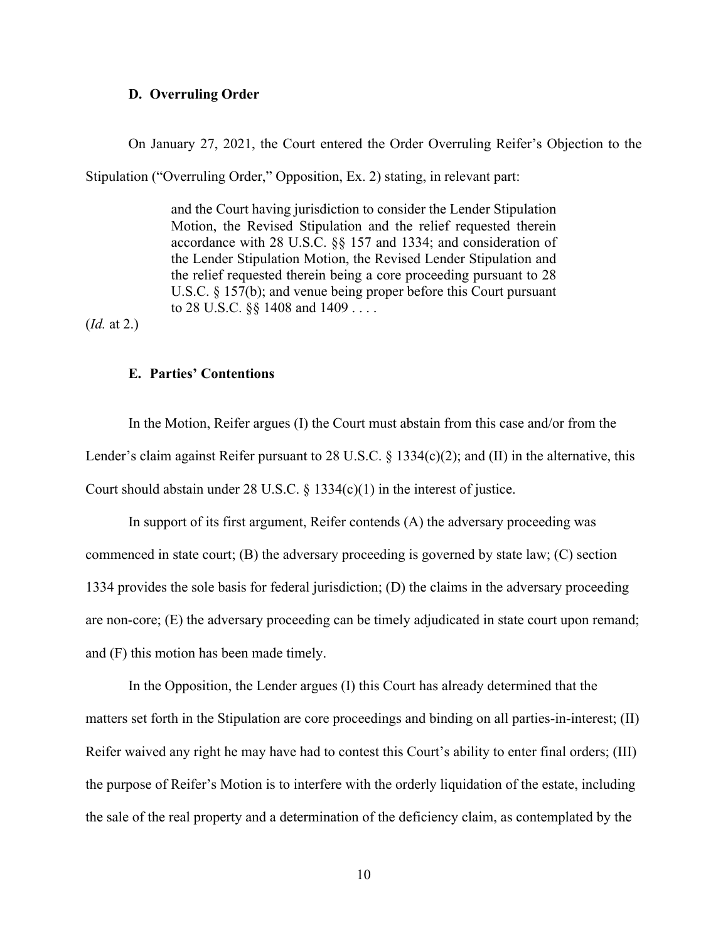### **D. Overruling Order**

On January 27, 2021, the Court entered the Order Overruling Reifer's Objection to the

Stipulation ("Overruling Order," Opposition, Ex. 2) stating, in relevant part:

and the Court having jurisdiction to consider the Lender Stipulation Motion, the Revised Stipulation and the relief requested therein accordance with 28 U.S.C. §§ 157 and 1334; and consideration of the Lender Stipulation Motion, the Revised Lender Stipulation and the relief requested therein being a core proceeding pursuant to 28 U.S.C. § 157(b); and venue being proper before this Court pursuant to 28 U.S.C. §§ 1408 and 1409 . . . .

(*Id.* at 2.)

### **E. Parties' Contentions**

In the Motion, Reifer argues (I) the Court must abstain from this case and/or from the Lender's claim against Reifer pursuant to 28 U.S.C. § 1334(c)(2); and (II) in the alternative, this Court should abstain under 28 U.S.C.  $\S$  1334(c)(1) in the interest of justice.

In support of its first argument, Reifer contends (A) the adversary proceeding was commenced in state court; (B) the adversary proceeding is governed by state law; (C) section 1334 provides the sole basis for federal jurisdiction; (D) the claims in the adversary proceeding are non-core; (E) the adversary proceeding can be timely adjudicated in state court upon remand; and (F) this motion has been made timely.

In the Opposition, the Lender argues (I) this Court has already determined that the matters set forth in the Stipulation are core proceedings and binding on all parties-in-interest; (II) Reifer waived any right he may have had to contest this Court's ability to enter final orders; (III) the purpose of Reifer's Motion is to interfere with the orderly liquidation of the estate, including the sale of the real property and a determination of the deficiency claim, as contemplated by the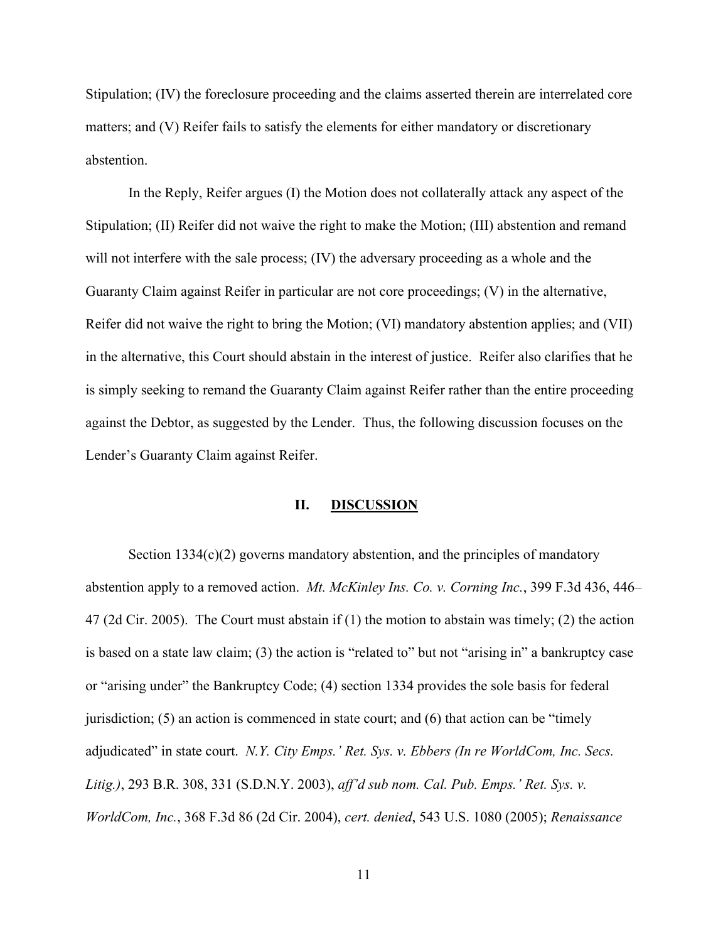Stipulation; (IV) the foreclosure proceeding and the claims asserted therein are interrelated core matters; and (V) Reifer fails to satisfy the elements for either mandatory or discretionary abstention.

In the Reply, Reifer argues (I) the Motion does not collaterally attack any aspect of the Stipulation; (II) Reifer did not waive the right to make the Motion; (III) abstention and remand will not interfere with the sale process; (IV) the adversary proceeding as a whole and the Guaranty Claim against Reifer in particular are not core proceedings; (V) in the alternative, Reifer did not waive the right to bring the Motion; (VI) mandatory abstention applies; and (VII) in the alternative, this Court should abstain in the interest of justice. Reifer also clarifies that he is simply seeking to remand the Guaranty Claim against Reifer rather than the entire proceeding against the Debtor, as suggested by the Lender. Thus, the following discussion focuses on the Lender's Guaranty Claim against Reifer.

### **II. DISCUSSION**

Section 1334(c)(2) governs mandatory abstention, and the principles of mandatory abstention apply to a removed action. *Mt. McKinley Ins. Co. v. Corning Inc.*, 399 F.3d 436, 446– 47 (2d Cir. 2005). The Court must abstain if (1) the motion to abstain was timely; (2) the action is based on a state law claim; (3) the action is "related to" but not "arising in" a bankruptcy case or "arising under" the Bankruptcy Code; (4) section 1334 provides the sole basis for federal jurisdiction;  $(5)$  an action is commenced in state court; and  $(6)$  that action can be "timely" adjudicated" in state court. *N.Y. City Emps.' Ret. Sys. v. Ebbers (In re WorldCom, Inc. Secs. Litig.)*, 293 B.R. 308, 331 (S.D.N.Y. 2003), *aff'd sub nom. Cal. Pub. Emps.' Ret. Sys. v. WorldCom, Inc.*, 368 F.3d 86 (2d Cir. 2004), *cert. denied*, 543 U.S. 1080 (2005); *Renaissance*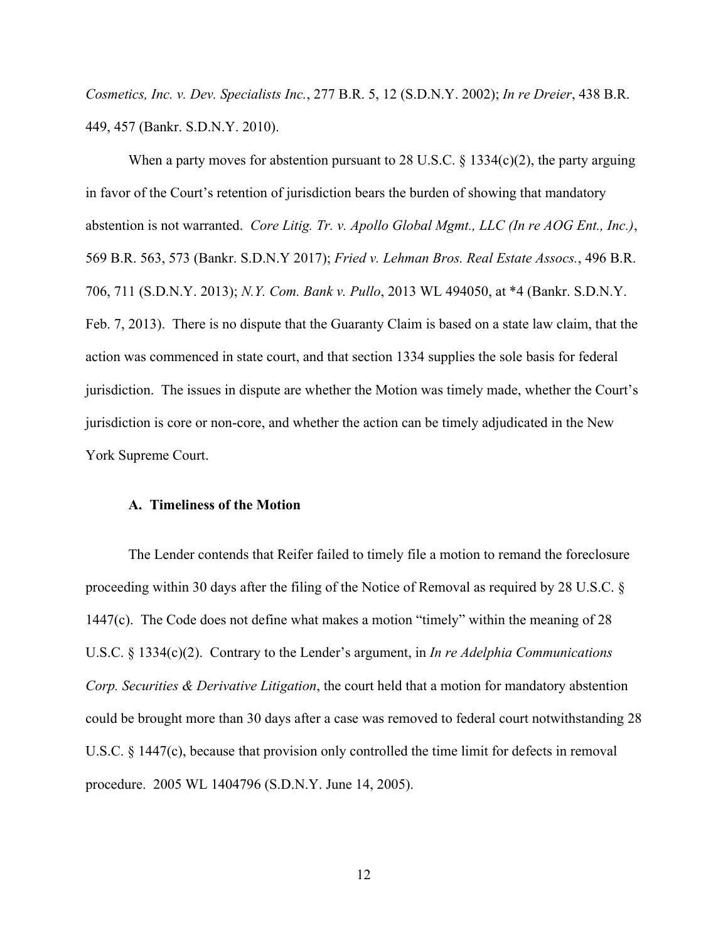*Cosmetics, Inc. v. Dev. Specialists Inc.*, 277 B.R. 5, 12 (S.D.N.Y. 2002); *In re Dreier*, 438 B.R. 449, 457 (Bankr. S.D.N.Y. 2010).

When a party moves for abstention pursuant to 28 U.S.C.  $\S$  1334(c)(2), the party arguing in favor of the Court's retention of jurisdiction bears the burden of showing that mandatory abstention is not warranted. *Core Litig. Tr. v. Apollo Global Mgmt., LLC (In re AOG Ent., Inc.)*, 569 B.R. 563, 573 (Bankr. S.D.N.Y 2017); *Fried v. Lehman Bros. Real Estate Assocs.*, 496 B.R. 706, 711 (S.D.N.Y. 2013); *N.Y. Com. Bank v. Pullo*, 2013 WL 494050, at \*4 (Bankr. S.D.N.Y. Feb. 7, 2013). There is no dispute that the Guaranty Claim is based on a state law claim, that the action was commenced in state court, and that section 1334 supplies the sole basis for federal jurisdiction. The issues in dispute are whether the Motion was timely made, whether the Court's jurisdiction is core or non-core, and whether the action can be timely adjudicated in the New York Supreme Court.

## **A. Timeliness of the Motion**

 The Lender contends that Reifer failed to timely file a motion to remand the foreclosure proceeding within 30 days after the filing of the Notice of Removal as required by 28 U.S.C. § 1447(c). The Code does not define what makes a motion "timely" within the meaning of 28 U.S.C. § 1334(c)(2). Contrary to the Lender's argument, in *In re Adelphia Communications Corp. Securities & Derivative Litigation*, the court held that a motion for mandatory abstention could be brought more than 30 days after a case was removed to federal court notwithstanding 28 U.S.C. § 1447(c), because that provision only controlled the time limit for defects in removal procedure. 2005 WL 1404796 (S.D.N.Y. June 14, 2005).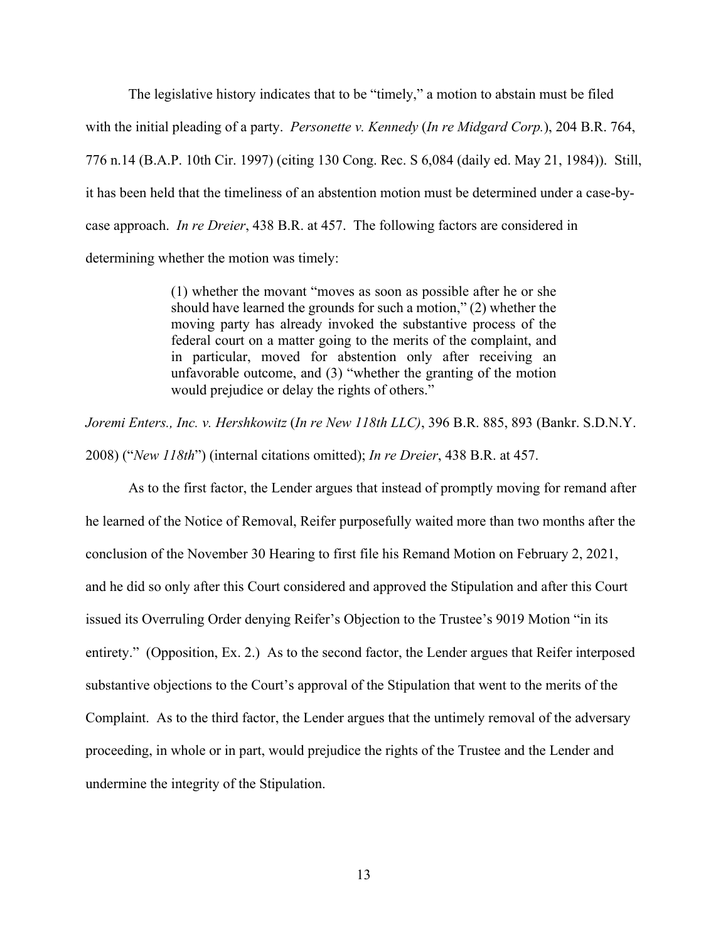The legislative history indicates that to be "timely," a motion to abstain must be filed with the initial pleading of a party. *Personette v. Kennedy* (*In re Midgard Corp.*), 204 B.R. 764, 776 n.14 (B.A.P. 10th Cir. 1997) (citing 130 Cong. Rec. S 6,084 (daily ed. May 21, 1984)). Still, it has been held that the timeliness of an abstention motion must be determined under a case-bycase approach. *In re Dreier*, 438 B.R. at 457. The following factors are considered in determining whether the motion was timely:

> (1) whether the movant "moves as soon as possible after he or she should have learned the grounds for such a motion," (2) whether the moving party has already invoked the substantive process of the federal court on a matter going to the merits of the complaint, and in particular, moved for abstention only after receiving an unfavorable outcome, and (3) "whether the granting of the motion would prejudice or delay the rights of others."

*Joremi Enters., Inc. v. Hershkowitz* (*In re New 118th LLC)*, 396 B.R. 885, 893 (Bankr. S.D.N.Y. 2008) ("*New 118th*") (internal citations omitted); *In re Dreier*, 438 B.R. at 457.

 As to the first factor, the Lender argues that instead of promptly moving for remand after he learned of the Notice of Removal, Reifer purposefully waited more than two months after the conclusion of the November 30 Hearing to first file his Remand Motion on February 2, 2021, and he did so only after this Court considered and approved the Stipulation and after this Court issued its Overruling Order denying Reifer's Objection to the Trustee's 9019 Motion "in its entirety." (Opposition, Ex. 2.) As to the second factor, the Lender argues that Reifer interposed substantive objections to the Court's approval of the Stipulation that went to the merits of the Complaint. As to the third factor, the Lender argues that the untimely removal of the adversary proceeding, in whole or in part, would prejudice the rights of the Trustee and the Lender and undermine the integrity of the Stipulation.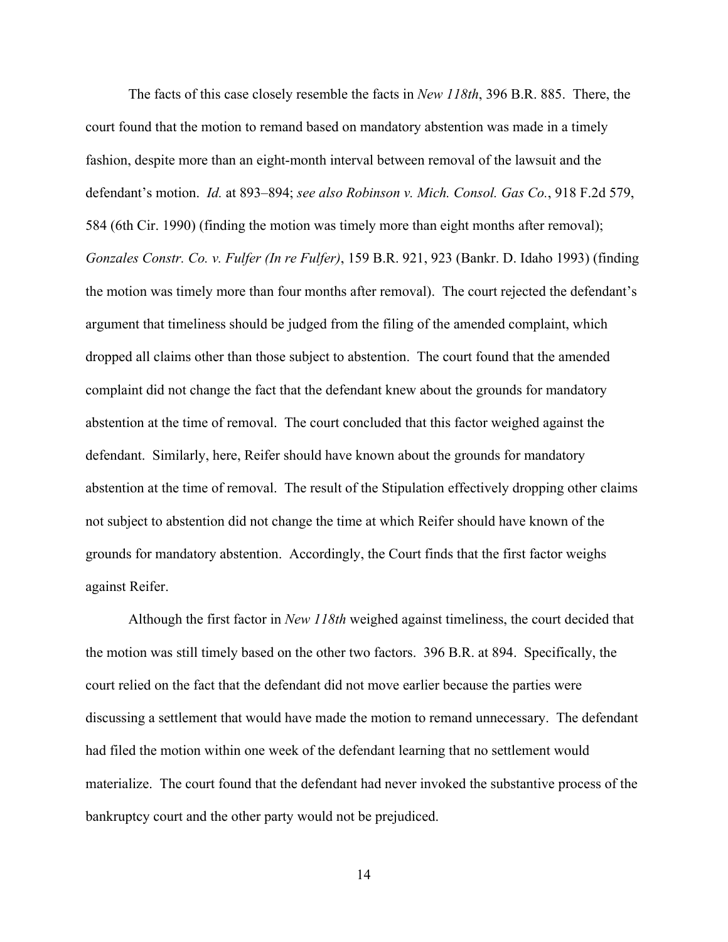The facts of this case closely resemble the facts in *New 118th*, 396 B.R. 885. There, the court found that the motion to remand based on mandatory abstention was made in a timely fashion, despite more than an eight-month interval between removal of the lawsuit and the defendant's motion. *Id.* at 893–894; *see also Robinson v. Mich. Consol. Gas Co.*, 918 F.2d 579, 584 (6th Cir. 1990) (finding the motion was timely more than eight months after removal); *Gonzales Constr. Co. v. Fulfer (In re Fulfer)*, 159 B.R. 921, 923 (Bankr. D. Idaho 1993) (finding the motion was timely more than four months after removal). The court rejected the defendant's argument that timeliness should be judged from the filing of the amended complaint, which dropped all claims other than those subject to abstention. The court found that the amended complaint did not change the fact that the defendant knew about the grounds for mandatory abstention at the time of removal. The court concluded that this factor weighed against the defendant. Similarly, here, Reifer should have known about the grounds for mandatory abstention at the time of removal. The result of the Stipulation effectively dropping other claims not subject to abstention did not change the time at which Reifer should have known of the grounds for mandatory abstention. Accordingly, the Court finds that the first factor weighs against Reifer.

 Although the first factor in *New 118th* weighed against timeliness, the court decided that the motion was still timely based on the other two factors. 396 B.R. at 894. Specifically, the court relied on the fact that the defendant did not move earlier because the parties were discussing a settlement that would have made the motion to remand unnecessary. The defendant had filed the motion within one week of the defendant learning that no settlement would materialize. The court found that the defendant had never invoked the substantive process of the bankruptcy court and the other party would not be prejudiced.

14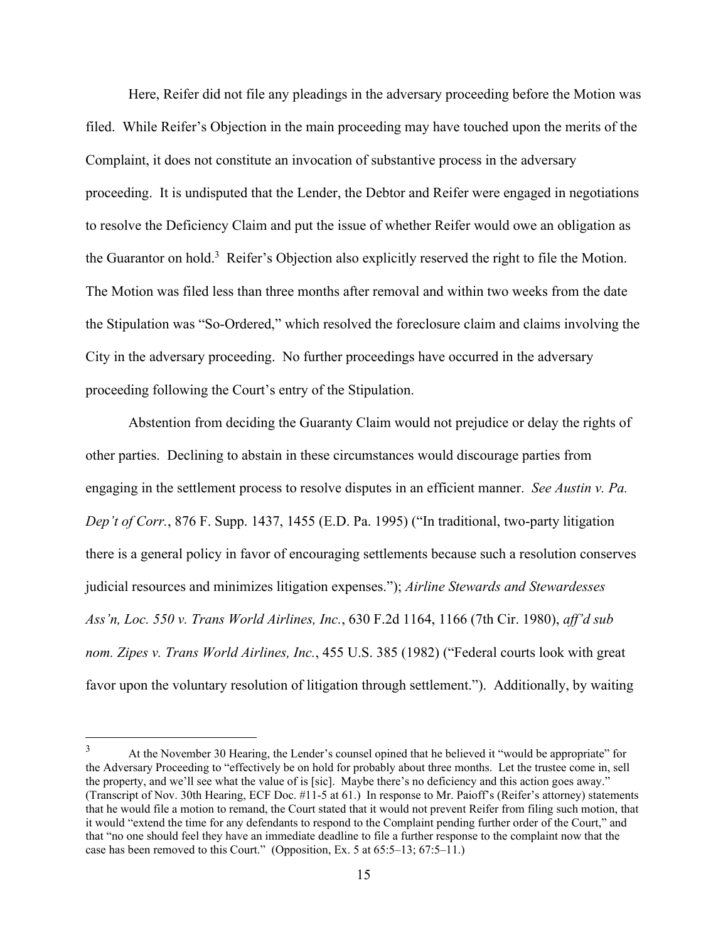Here, Reifer did not file any pleadings in the adversary proceeding before the Motion was filed. While Reifer's Objection in the main proceeding may have touched upon the merits of the Complaint, it does not constitute an invocation of substantive process in the adversary proceeding. It is undisputed that the Lender, the Debtor and Reifer were engaged in negotiations to resolve the Deficiency Claim and put the issue of whether Reifer would owe an obligation as the Guarantor on hold.<sup>3</sup> Reifer's Objection also explicitly reserved the right to file the Motion. The Motion was filed less than three months after removal and within two weeks from the date the Stipulation was "So-Ordered," which resolved the foreclosure claim and claims involving the City in the adversary proceeding. No further proceedings have occurred in the adversary proceeding following the Court's entry of the Stipulation.

 Abstention from deciding the Guaranty Claim would not prejudice or delay the rights of other parties. Declining to abstain in these circumstances would discourage parties from engaging in the settlement process to resolve disputes in an efficient manner. *See Austin v. Pa. Dep't of Corr.*, 876 F. Supp. 1437, 1455 (E.D. Pa. 1995) ("In traditional, two-party litigation there is a general policy in favor of encouraging settlements because such a resolution conserves judicial resources and minimizes litigation expenses."); *Airline Stewards and Stewardesses Ass'n, Loc. 550 v. Trans World Airlines, Inc.*, 630 F.2d 1164, 1166 (7th Cir. 1980), *aff'd sub nom. Zipes v. Trans World Airlines, Inc.*, 455 U.S. 385 (1982) ("Federal courts look with great favor upon the voluntary resolution of litigation through settlement."). Additionally, by waiting

<sup>3</sup> At the November 30 Hearing, the Lender's counsel opined that he believed it "would be appropriate" for the Adversary Proceeding to "effectively be on hold for probably about three months. Let the trustee come in, sell the property, and we'll see what the value of is [sic]. Maybe there's no deficiency and this action goes away." (Transcript of Nov. 30th Hearing, ECF Doc. #11-5 at 61.) In response to Mr. Paioff's (Reifer's attorney) statements that he would file a motion to remand, the Court stated that it would not prevent Reifer from filing such motion, that it would "extend the time for any defendants to respond to the Complaint pending further order of the Court," and that "no one should feel they have an immediate deadline to file a further response to the complaint now that the case has been removed to this Court." (Opposition, Ex. 5 at 65:5–13; 67:5–11.)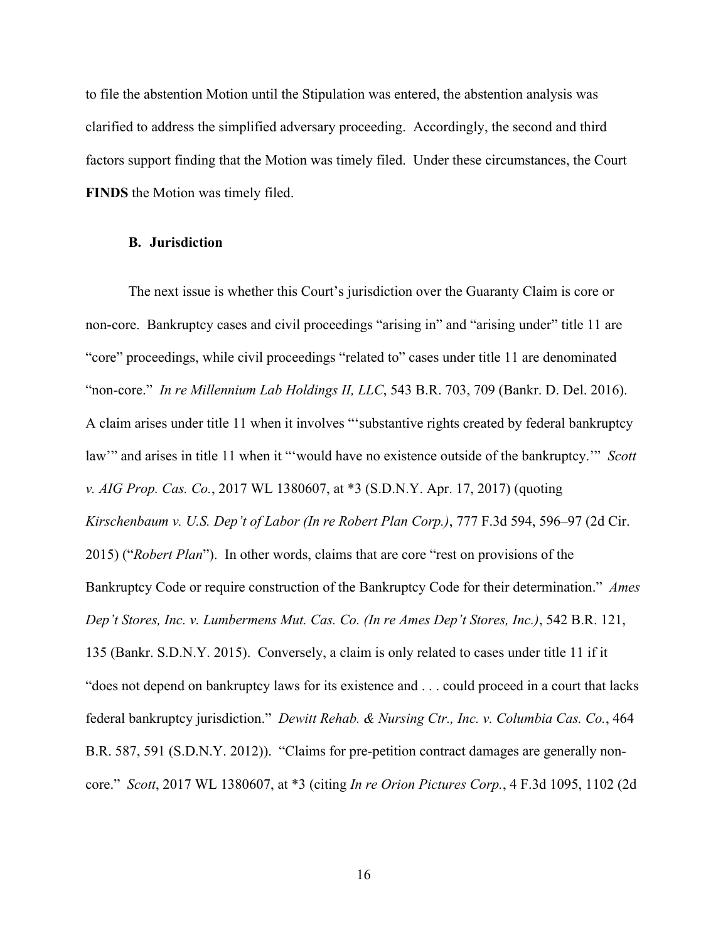to file the abstention Motion until the Stipulation was entered, the abstention analysis was clarified to address the simplified adversary proceeding. Accordingly, the second and third factors support finding that the Motion was timely filed. Under these circumstances, the Court **FINDS** the Motion was timely filed.

### **B. Jurisdiction**

The next issue is whether this Court's jurisdiction over the Guaranty Claim is core or non-core. Bankruptcy cases and civil proceedings "arising in" and "arising under" title 11 are "core" proceedings, while civil proceedings "related to" cases under title 11 are denominated "non-core." *In re Millennium Lab Holdings II, LLC*, 543 B.R. 703, 709 (Bankr. D. Del. 2016). A claim arises under title 11 when it involves "'substantive rights created by federal bankruptcy law'" and arises in title 11 when it "'would have no existence outside of the bankruptcy.'" *Scott v. AIG Prop. Cas. Co.*, 2017 WL 1380607, at \*3 (S.D.N.Y. Apr. 17, 2017) (quoting *Kirschenbaum v. U.S. Dep't of Labor (In re Robert Plan Corp.)*, 777 F.3d 594, 596–97 (2d Cir. 2015) ("*Robert Plan*"). In other words, claims that are core "rest on provisions of the Bankruptcy Code or require construction of the Bankruptcy Code for their determination." *Ames Dep't Stores, Inc. v. Lumbermens Mut. Cas. Co. (In re Ames Dep't Stores, Inc.)*, 542 B.R. 121, 135 (Bankr. S.D.N.Y. 2015). Conversely, a claim is only related to cases under title 11 if it "does not depend on bankruptcy laws for its existence and . . . could proceed in a court that lacks federal bankruptcy jurisdiction." *Dewitt Rehab. & Nursing Ctr., Inc. v. Columbia Cas. Co.*, 464 B.R. 587, 591 (S.D.N.Y. 2012)). "Claims for pre-petition contract damages are generally noncore." *Scott*, 2017 WL 1380607, at \*3 (citing *In re Orion Pictures Corp.*, 4 F.3d 1095, 1102 (2d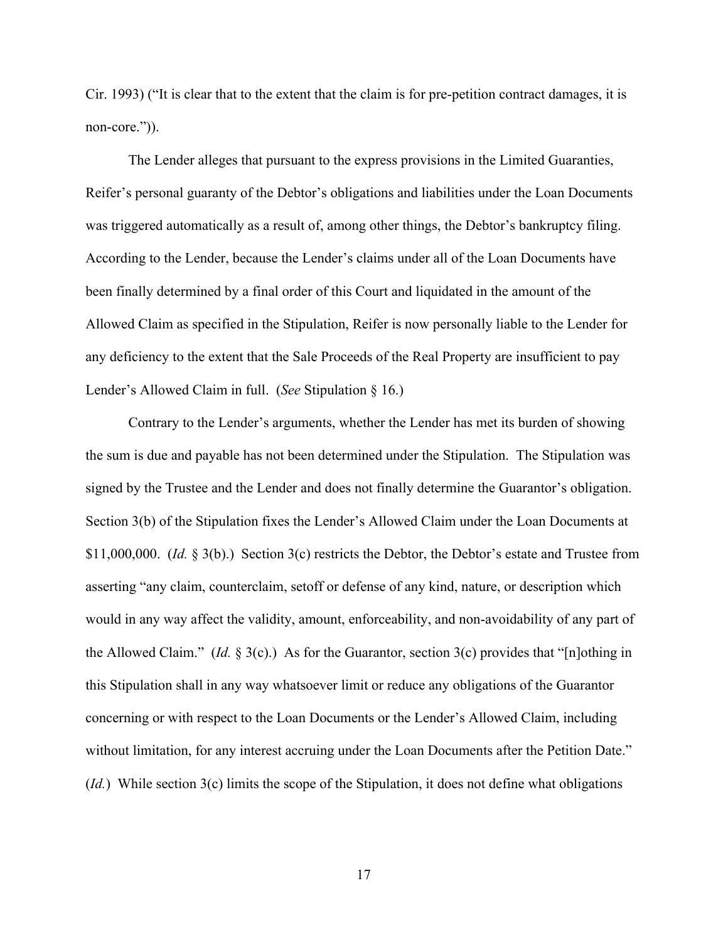Cir. 1993) ("It is clear that to the extent that the claim is for pre-petition contract damages, it is non-core.")).

The Lender alleges that pursuant to the express provisions in the Limited Guaranties, Reifer's personal guaranty of the Debtor's obligations and liabilities under the Loan Documents was triggered automatically as a result of, among other things, the Debtor's bankruptcy filing. According to the Lender, because the Lender's claims under all of the Loan Documents have been finally determined by a final order of this Court and liquidated in the amount of the Allowed Claim as specified in the Stipulation, Reifer is now personally liable to the Lender for any deficiency to the extent that the Sale Proceeds of the Real Property are insufficient to pay Lender's Allowed Claim in full. (*See* Stipulation § 16.)

Contrary to the Lender's arguments, whether the Lender has met its burden of showing the sum is due and payable has not been determined under the Stipulation. The Stipulation was signed by the Trustee and the Lender and does not finally determine the Guarantor's obligation. Section 3(b) of the Stipulation fixes the Lender's Allowed Claim under the Loan Documents at \$11,000,000. (*Id.* § 3(b).) Section 3(c) restricts the Debtor, the Debtor's estate and Trustee from asserting "any claim, counterclaim, setoff or defense of any kind, nature, or description which would in any way affect the validity, amount, enforceability, and non-avoidability of any part of the Allowed Claim." (*Id.* § 3(c).) As for the Guarantor, section 3(c) provides that "[n]othing in this Stipulation shall in any way whatsoever limit or reduce any obligations of the Guarantor concerning or with respect to the Loan Documents or the Lender's Allowed Claim, including without limitation, for any interest accruing under the Loan Documents after the Petition Date." (*Id.*) While section 3(c) limits the scope of the Stipulation, it does not define what obligations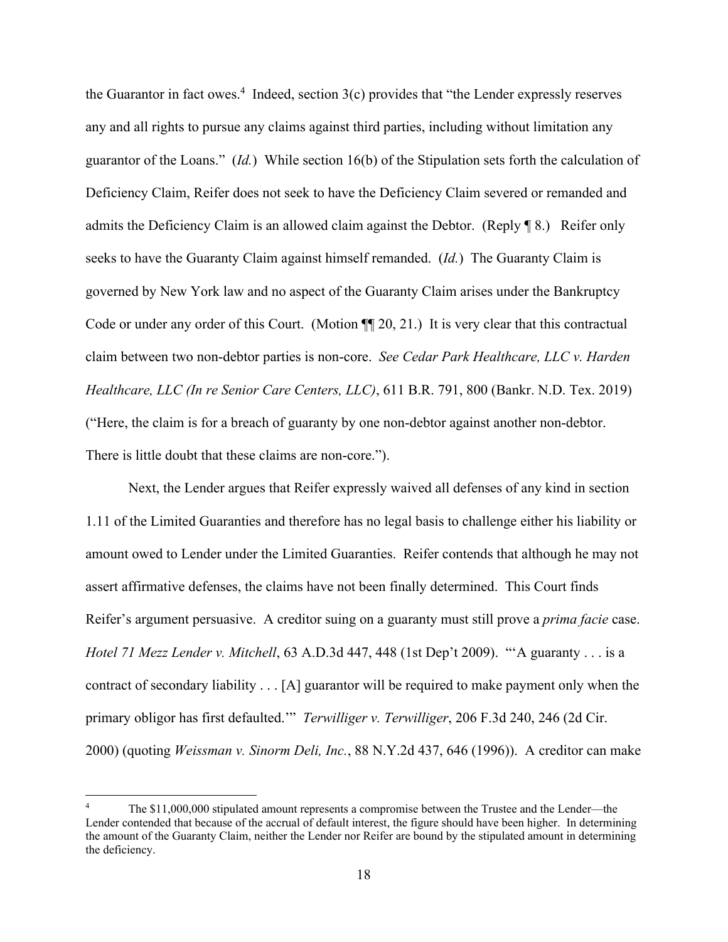the Guarantor in fact owes.<sup>4</sup> Indeed, section  $3(c)$  provides that "the Lender expressly reserves any and all rights to pursue any claims against third parties, including without limitation any guarantor of the Loans." (*Id.*) While section 16(b) of the Stipulation sets forth the calculation of Deficiency Claim, Reifer does not seek to have the Deficiency Claim severed or remanded and admits the Deficiency Claim is an allowed claim against the Debtor. (Reply ¶ 8.) Reifer only seeks to have the Guaranty Claim against himself remanded. (*Id.*) The Guaranty Claim is governed by New York law and no aspect of the Guaranty Claim arises under the Bankruptcy Code or under any order of this Court. (Motion  $\P$  20, 21.) It is very clear that this contractual claim between two non-debtor parties is non-core. *See Cedar Park Healthcare, LLC v. Harden Healthcare, LLC (In re Senior Care Centers, LLC)*, 611 B.R. 791, 800 (Bankr. N.D. Tex. 2019) ("Here, the claim is for a breach of guaranty by one non-debtor against another non-debtor. There is little doubt that these claims are non-core.").

Next, the Lender argues that Reifer expressly waived all defenses of any kind in section 1.11 of the Limited Guaranties and therefore has no legal basis to challenge either his liability or amount owed to Lender under the Limited Guaranties. Reifer contends that although he may not assert affirmative defenses, the claims have not been finally determined. This Court finds Reifer's argument persuasive. A creditor suing on a guaranty must still prove a *prima facie* case. *Hotel 71 Mezz Lender v. Mitchell*, 63 A.D.3d 447, 448 (1st Dep't 2009). "'A guaranty . . . is a contract of secondary liability . . . [A] guarantor will be required to make payment only when the primary obligor has first defaulted.'" *Terwilliger v. Terwilliger*, 206 F.3d 240, 246 (2d Cir. 2000) (quoting *Weissman v. Sinorm Deli, Inc.*, 88 N.Y.2d 437, 646 (1996)). A creditor can make

<sup>4</sup> The \$11,000,000 stipulated amount represents a compromise between the Trustee and the Lender—the Lender contended that because of the accrual of default interest, the figure should have been higher. In determining the amount of the Guaranty Claim, neither the Lender nor Reifer are bound by the stipulated amount in determining the deficiency.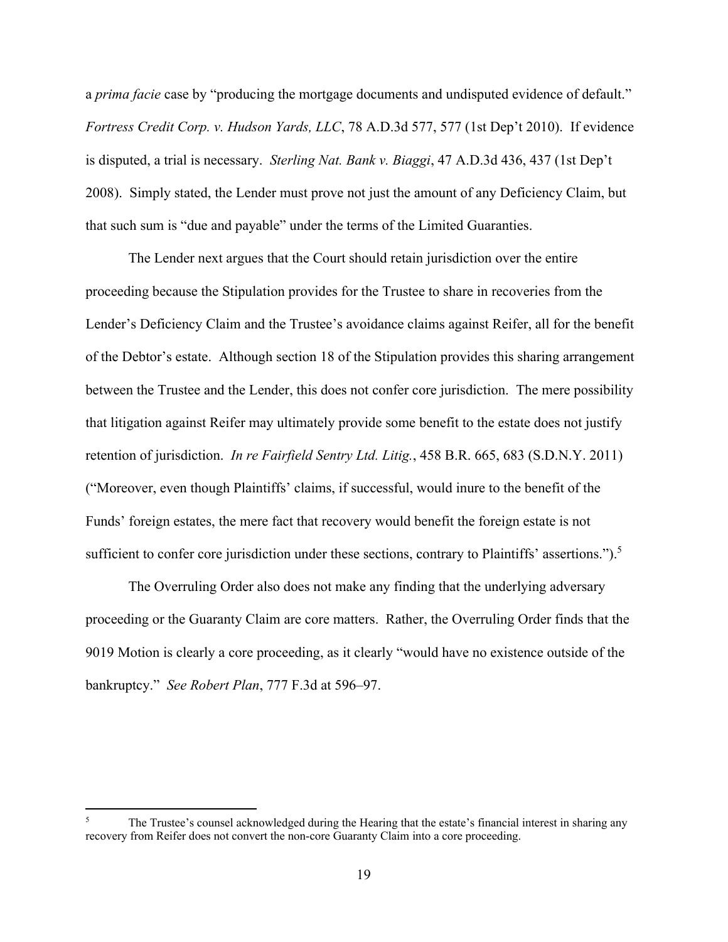a *prima facie* case by "producing the mortgage documents and undisputed evidence of default." *Fortress Credit Corp. v. Hudson Yards, LLC*, 78 A.D.3d 577, 577 (1st Dep't 2010). If evidence is disputed, a trial is necessary. *Sterling Nat. Bank v. Biaggi*, 47 A.D.3d 436, 437 (1st Dep't 2008).Simply stated, the Lender must prove not just the amount of any Deficiency Claim, but that such sum is "due and payable" under the terms of the Limited Guaranties.

The Lender next argues that the Court should retain jurisdiction over the entire proceeding because the Stipulation provides for the Trustee to share in recoveries from the Lender's Deficiency Claim and the Trustee's avoidance claims against Reifer, all for the benefit of the Debtor's estate. Although section 18 of the Stipulation provides this sharing arrangement between the Trustee and the Lender, this does not confer core jurisdiction. The mere possibility that litigation against Reifer may ultimately provide some benefit to the estate does not justify retention of jurisdiction. *In re Fairfield Sentry Ltd. Litig.*, 458 B.R. 665, 683 (S.D.N.Y. 2011) ("Moreover, even though Plaintiffs' claims, if successful, would inure to the benefit of the Funds' foreign estates, the mere fact that recovery would benefit the foreign estate is not sufficient to confer core jurisdiction under these sections, contrary to Plaintiffs' assertions.").<sup>5</sup>

The Overruling Order also does not make any finding that the underlying adversary proceeding or the Guaranty Claim are core matters. Rather, the Overruling Order finds that the 9019 Motion is clearly a core proceeding, as it clearly "would have no existence outside of the bankruptcy." *See Robert Plan*, 777 F.3d at 596–97.

<sup>5</sup> The Trustee's counsel acknowledged during the Hearing that the estate's financial interest in sharing any recovery from Reifer does not convert the non-core Guaranty Claim into a core proceeding.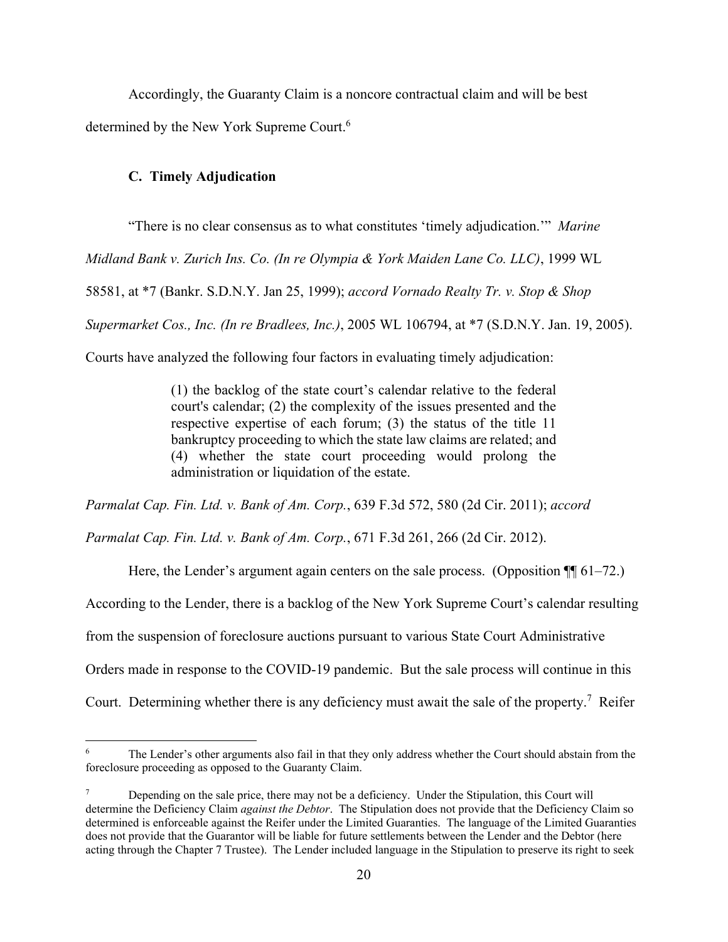Accordingly, the Guaranty Claim is a noncore contractual claim and will be best determined by the New York Supreme Court.<sup>6</sup>

## **C. Timely Adjudication**

"There is no clear consensus as to what constitutes 'timely adjudication.'" *Marine* 

*Midland Bank v. Zurich Ins. Co. (In re Olympia & York Maiden Lane Co. LLC)*, 1999 WL

58581, at \*7 (Bankr. S.D.N.Y. Jan 25, 1999); *accord Vornado Realty Tr. v. Stop & Shop* 

*Supermarket Cos., Inc. (In re Bradlees, Inc.)*, 2005 WL 106794, at \*7 (S.D.N.Y. Jan. 19, 2005).

Courts have analyzed the following four factors in evaluating timely adjudication:

(1) the backlog of the state court's calendar relative to the federal court's calendar; (2) the complexity of the issues presented and the respective expertise of each forum; (3) the status of the title 11 bankruptcy proceeding to which the state law claims are related; and (4) whether the state court proceeding would prolong the administration or liquidation of the estate.

*Parmalat Cap. Fin. Ltd. v. Bank of Am. Corp.*, 639 F.3d 572, 580 (2d Cir. 2011); *accord* 

*Parmalat Cap. Fin. Ltd. v. Bank of Am. Corp.*, 671 F.3d 261, 266 (2d Cir. 2012).

Here, the Lender's argument again centers on the sale process. (Opposition  $\P$  61–72.)

According to the Lender, there is a backlog of the New York Supreme Court's calendar resulting

from the suspension of foreclosure auctions pursuant to various State Court Administrative

Orders made in response to the COVID-19 pandemic. But the sale process will continue in this

Court. Determining whether there is any deficiency must await the sale of the property.<sup>7</sup> Reifer

<sup>6</sup> The Lender's other arguments also fail in that they only address whether the Court should abstain from the foreclosure proceeding as opposed to the Guaranty Claim.

<sup>7</sup> Depending on the sale price, there may not be a deficiency. Under the Stipulation, this Court will determine the Deficiency Claim *against the Debtor*. The Stipulation does not provide that the Deficiency Claim so determined is enforceable against the Reifer under the Limited Guaranties. The language of the Limited Guaranties does not provide that the Guarantor will be liable for future settlements between the Lender and the Debtor (here acting through the Chapter 7 Trustee). The Lender included language in the Stipulation to preserve its right to seek